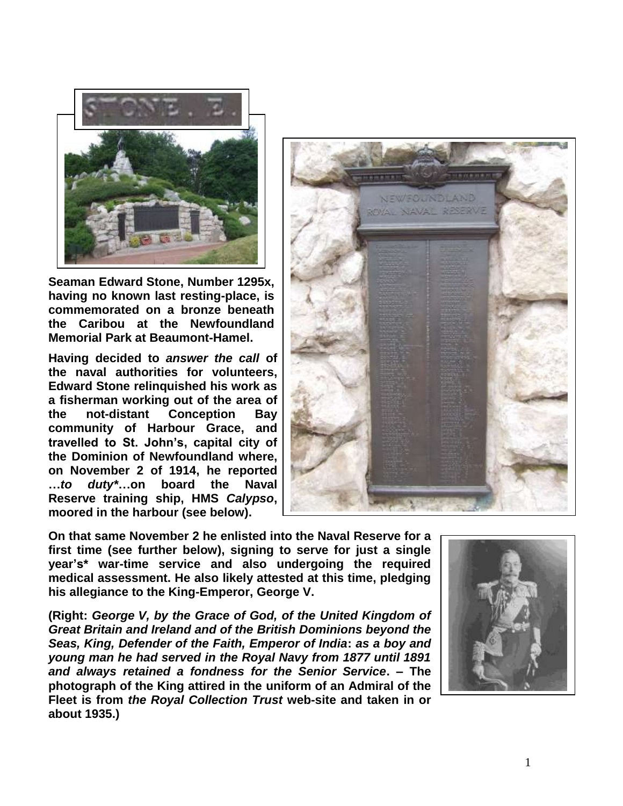

**Seaman Edward Stone, Number 1295x, having no known last resting-place, is commemorated on a bronze beneath the Caribou at the Newfoundland Memorial Park at Beaumont-Hamel.**

**Having decided to** *answer the call* **of the naval authorities for volunteers, Edward Stone relinquished his work as a fisherman working out of the area of the not-distant Conception Bay community of Harbour Grace, and travelled to St. John's, capital city of the Dominion of Newfoundland where, on November 2 of 1914, he reported …***to duty\****…on board the Naval Reserve training ship, HMS** *Calypso***, moored in the harbour (see below).**



**On that same November 2 he enlisted into the Naval Reserve for a first time (see further below), signing to serve for just a single year's\* war-time service and also undergoing the required medical assessment. He also likely attested at this time, pledging his allegiance to the King-Emperor, George V.**

**(Right:** *George V, by the Grace of God, of the United Kingdom of Great Britain and Ireland and of the British Dominions beyond the Seas, King, Defender of the Faith, Emperor of India***:** *as a boy and young man he had served in the Royal Navy from 1877 until 1891 and always retained a fondness for the Senior Service***. – The photograph of the King attired in the uniform of an Admiral of the Fleet is from** *the Royal Collection Trust* **web-site and taken in or about 1935.)**

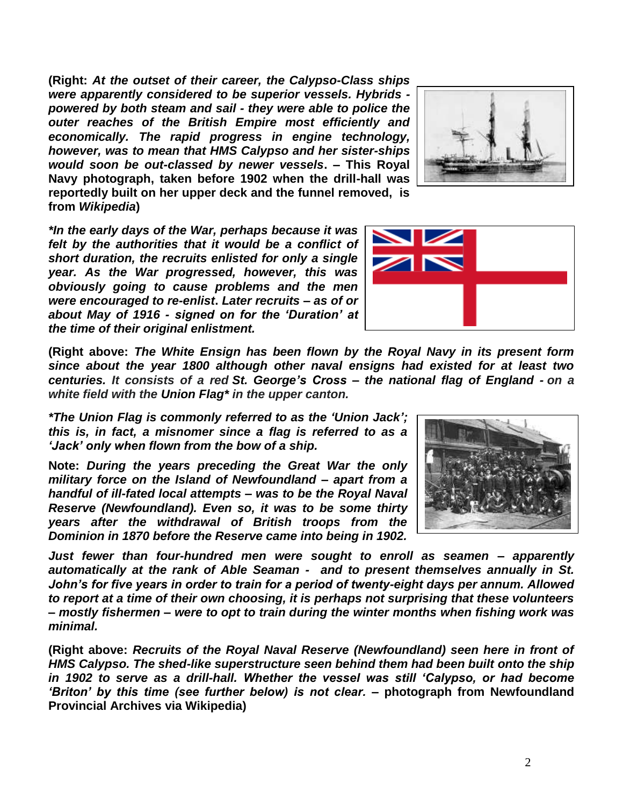**(Right:** *At the outset of their career, the Calypso-Class ships were apparently considered to be superior vessels. Hybrids powered by both steam and sail - they were able to police the outer reaches of the British Empire most efficiently and economically. The rapid progress in engine technology, however, was to mean that HMS Calypso and her sister-ships would soon be out-classed by newer vessels***. – This Royal Navy photograph, taken before 1902 when the drill-hall was reportedly built on her upper deck and the funnel removed, is from** *Wikipedia***)**



*\*In the early days of the War, perhaps because it was felt by the authorities that it would be a conflict of short duration, the recruits enlisted for only a single year. As the War progressed, however, this was obviously going to cause problems and the men were encouraged to re-enlist***.** *Later recruits – as of or about May of 1916 - signed on for the 'Duration' at the time of their original enlistment.*



**(Right above:** *The White Ensign has been flown by the Royal Navy in its present form since about the year 1800 although other naval ensigns had existed for at least two centuries. It consists of a red St. George's Cross – the national flag of England - on a white field with the Union Flag\* in the upper canton.*

*\*The Union Flag is commonly referred to as the 'Union Jack'; this is, in fact, a misnomer since a flag is referred to as a 'Jack' only when flown from the bow of a ship.* 

**Note:** *During the years preceding the Great War the only military force on the Island of Newfoundland – apart from a handful of ill-fated local attempts – was to be the Royal Naval Reserve (Newfoundland). Even so, it was to be some thirty years after the withdrawal of British troops from the Dominion in 1870 before the Reserve came into being in 1902.* 

*Just fewer than four-hundred men were sought to enroll as seamen – apparently automatically at the rank of Able Seaman - and to present themselves annually in St. John's for five years in order to train for a period of twenty-eight days per annum. Allowed to report at a time of their own choosing, it is perhaps not surprising that these volunteers – mostly fishermen – were to opt to train during the winter months when fishing work was minimal.*

**(Right above:** *Recruits of the Royal Naval Reserve (Newfoundland) seen here in front of HMS Calypso. The shed-like superstructure seen behind them had been built onto the ship in 1902 to serve as a drill-hall. Whether the vessel was still 'Calypso, or had become 'Briton' by this time (see further below) is not clear.* **– photograph from Newfoundland Provincial Archives via Wikipedia)**

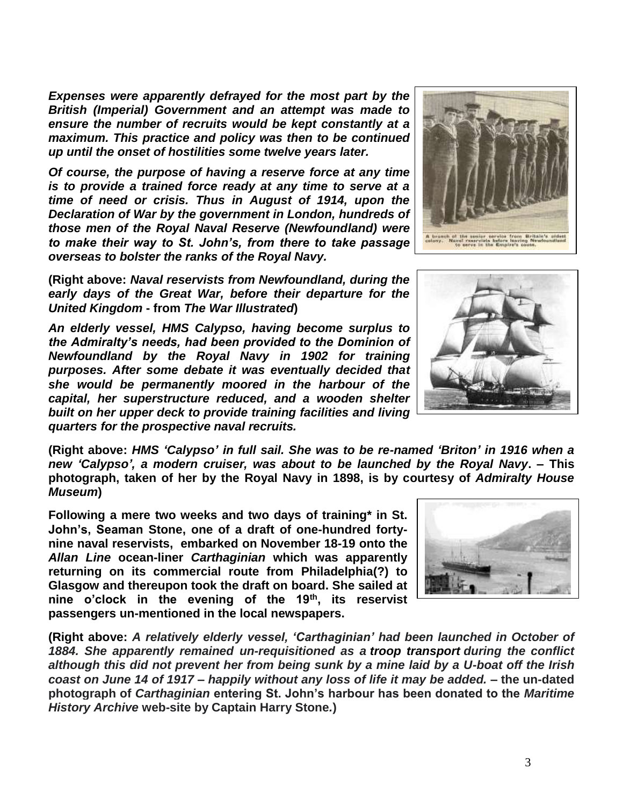*Expenses were apparently defrayed for the most part by the British (Imperial) Government and an attempt was made to ensure the number of recruits would be kept constantly at a maximum. This practice and policy was then to be continued up until the onset of hostilities some twelve years later.*

*Of course, the purpose of having a reserve force at any time is to provide a trained force ready at any time to serve at a time of need or crisis. Thus in August of 1914, upon the Declaration of War by the government in London, hundreds of those men of the Royal Naval Reserve (Newfoundland) were to make their way to St. John's, from there to take passage overseas to bolster the ranks of the Royal Navy.*

**(Right above:** *Naval reservists from Newfoundland, during the early days of the Great War, before their departure for the United Kingdom* **- from** *The War Illustrated***)**

*An elderly vessel, HMS Calypso, having become surplus to the Admiralty's needs, had been provided to the Dominion of Newfoundland by the Royal Navy in 1902 for training purposes. After some debate it was eventually decided that she would be permanently moored in the harbour of the capital, her superstructure reduced, and a wooden shelter built on her upper deck to provide training facilities and living quarters for the prospective naval recruits.*

**(Right above:** *HMS 'Calypso' in full sail. She was to be re-named 'Briton' in 1916 when a new 'Calypso', a modern cruiser, was about to be launched by the Royal Navy***. – This photograph, taken of her by the Royal Navy in 1898, is by courtesy of** *Admiralty House Museum***)**

**Following a mere two weeks and two days of training\* in St. John's, Seaman Stone, one of a draft of one-hundred fortynine naval reservists, embarked on November 18-19 onto the**  *Allan Line* **ocean-liner** *Carthaginian* **which was apparently returning on its commercial route from Philadelphia(?) to Glasgow and thereupon took the draft on board. She sailed at nine o'clock in the evening of the 19th, its reservist passengers un-mentioned in the local newspapers.**

**(Right above:** *A relatively elderly vessel, 'Carthaginian' had been launched in October of 1884. She apparently remained un-requisitioned as a troop transport during the conflict although this did not prevent her from being sunk by a mine laid by a U-boat off the Irish coast on June 14 of 1917 – happily without any loss of life it may be added. –* **the un-dated photograph of** *Carthaginian* **entering St. John's harbour has been donated to the** *Maritime History Archive* **web-site by Captain Harry Stone***.***)**





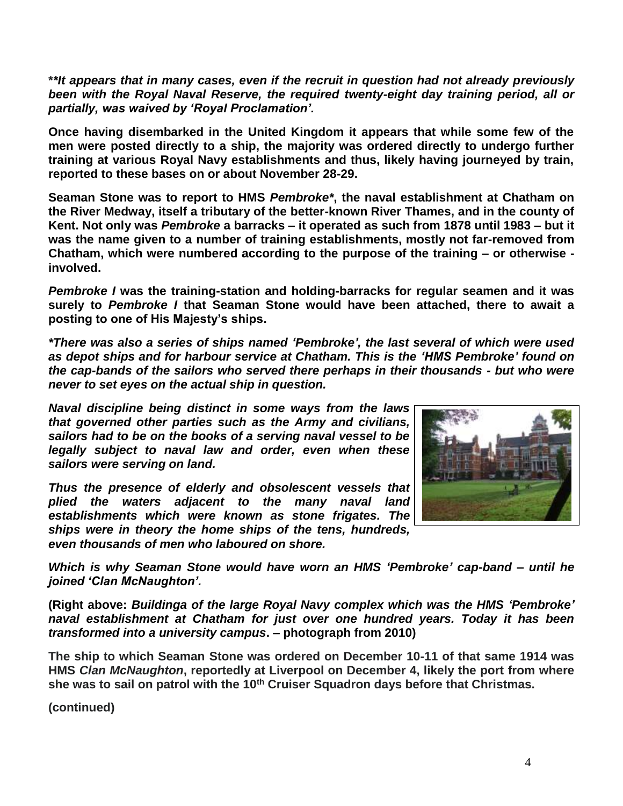**\****\*It appears that in many cases, even if the recruit in question had not already previously been with the Royal Naval Reserve, the required twenty-eight day training period, all or partially, was waived by 'Royal Proclamation'.*

**Once having disembarked in the United Kingdom it appears that while some few of the men were posted directly to a ship, the majority was ordered directly to undergo further training at various Royal Navy establishments and thus, likely having journeyed by train, reported to these bases on or about November 28-29.**

**Seaman Stone was to report to HMS** *Pembroke\****, the naval establishment at Chatham on the River Medway, itself a tributary of the better-known River Thames, and in the county of Kent. Not only was** *Pembroke* **a barracks – it operated as such from 1878 until 1983 – but it was the name given to a number of training establishments, mostly not far-removed from Chatham, which were numbered according to the purpose of the training – or otherwise involved.** 

*Pembroke I* **was the training-station and holding-barracks for regular seamen and it was surely to** *Pembroke I* **that Seaman Stone would have been attached, there to await a posting to one of His Majesty's ships.**

*\*There was also a series of ships named 'Pembroke', the last several of which were used as depot ships and for harbour service at Chatham. This is the 'HMS Pembroke' found on the cap-bands of the sailors who served there perhaps in their thousands - but who were never to set eyes on the actual ship in question.*

*Naval discipline being distinct in some ways from the laws that governed other parties such as the Army and civilians, sailors had to be on the books of a serving naval vessel to be legally subject to naval law and order, even when these sailors were serving on land.*

*Thus the presence of elderly and obsolescent vessels that plied the waters adjacent to the many naval land establishments which were known as stone frigates. The ships were in theory the home ships of the tens, hundreds, even thousands of men who laboured on shore.*



*Which is why Seaman Stone would have worn an HMS 'Pembroke' cap-band – until he joined 'Clan McNaughton'.*

**(Right above:** *Buildinga of the large Royal Navy complex which was the HMS 'Pembroke' naval establishment at Chatham for just over one hundred years. Today it has been transformed into a university campus***. – photograph from 2010)**

**The ship to which Seaman Stone was ordered on December 10-11 of that same 1914 was HMS** *Clan McNaughton***, reportedly at Liverpool on December 4, likely the port from where she was to sail on patrol with the 10th Cruiser Squadron days before that Christmas.**

**(continued)**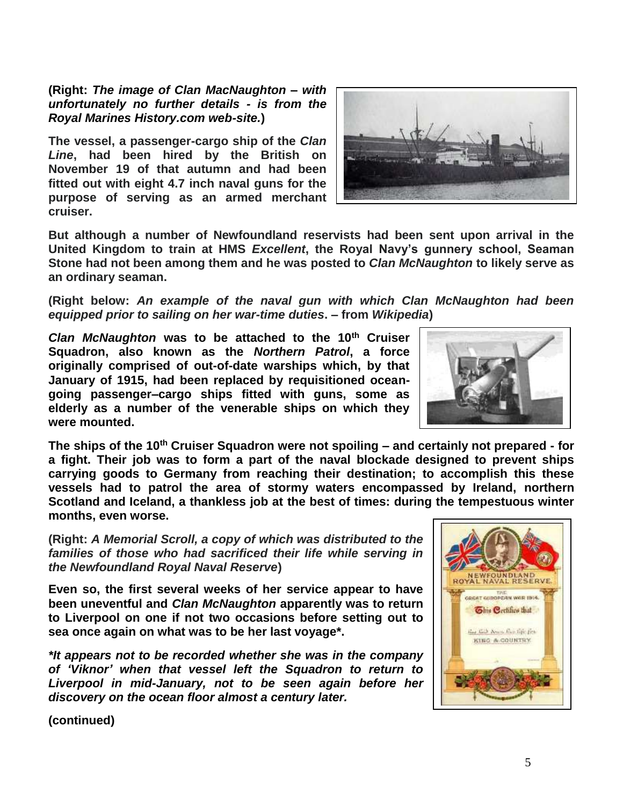**(Right:** *The image of Clan MacNaughton – with unfortunately no further details - is from the Royal Marines History.com web-site.***)**

**The vessel, a passenger-cargo ship of the** *Clan Line***, had been hired by the British on November 19 of that autumn and had been fitted out with eight 4.7 inch naval guns for the purpose of serving as an armed merchant cruiser.**



**But although a number of Newfoundland reservists had been sent upon arrival in the United Kingdom to train at HMS** *Excellent***, the Royal Navy's gunnery school, Seaman Stone had not been among them and he was posted to** *Clan McNaughton* **to likely serve as an ordinary seaman.**

**(Right below:** *An example of the naval gun with which Clan McNaughton had been equipped prior to sailing on her war-time duties***. – from** *Wikipedia***)**

*Clan McNaughton* **was to be attached to the 10th Cruiser Squadron, also known as the** *Northern Patrol***, a force originally comprised of out-of-date warships which, by that January of 1915, had been replaced by requisitioned oceangoing passenger–cargo ships fitted with guns, some as elderly as a number of the venerable ships on which they were mounted.**

**The ships of the 10th Cruiser Squadron were not spoiling – and certainly not prepared - for a fight. Their job was to form a part of the naval blockade designed to prevent ships carrying goods to Germany from reaching their destination; to accomplish this these vessels had to patrol the area of stormy waters encompassed by Ireland, northern Scotland and Iceland, a thankless job at the best of times: during the tempestuous winter months, even worse.**

**(Right:** *A Memorial Scroll, a copy of which was distributed to the families of those who had sacrificed their life while serving in the Newfoundland Royal Naval Reserve***)**

**Even so, the first several weeks of her service appear to have been uneventful and** *Clan McNaughton* **apparently was to return to Liverpool on one if not two occasions before setting out to sea once again on what was to be her last voyage\*.**

*\*It appears not to be recorded whether she was in the company of 'Viknor' when that vessel left the Squadron to return to Liverpool in mid-January, not to be seen again before her discovery on the ocean floor almost a century later.*



**(continued)**